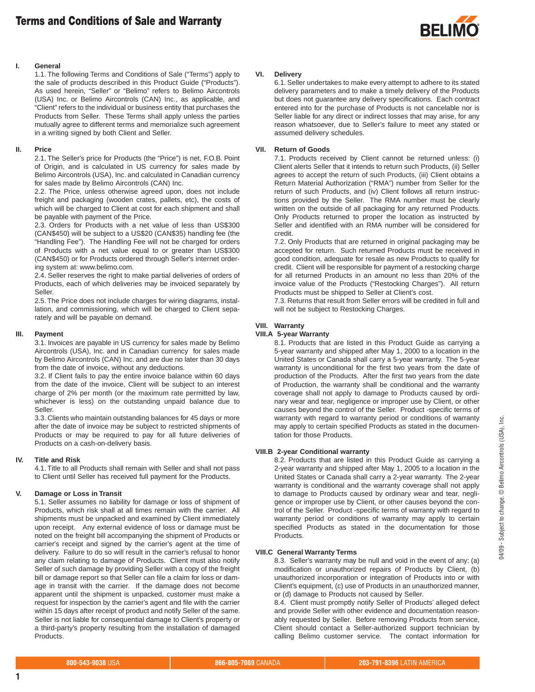

# **I. General**

1.1. The following Terms and Conditions of Sale ("Terms") apply to the sale of products described in this Product Guide ("Products"). As used herein, "Seller" or "Belimo" refers to Belimo Aircontrols (USA) Inc. or Belimo Aircontrols (CAN) Inc., as applicable, and "Client" refers to the individual or business entity that purchases the Products from Seller. These Terms shall apply unless the parties mutually agree to different terms and memorialize such agreement in a writing signed by both Client and Seller.

## **II. Price**

2.1. The Seller's price for Products (the "Price") is net, F.O.B. Point of Origin, and is calculated in US currency for sales made by Belimo Aircontrols (USA), Inc. and calculated in Canadian currency for sales made by Belimo Aircontrols (CAN) Inc.

2.2. The Price, unless otherwise agreed upon, does not include freight and packaging (wooden crates, pallets, etc), the costs of which will be charged to Client at cost for each shipment and shall be payable with payment of the Price.

2.3. Orders for Products with a net value of less than US\$300 (CAN\$450) will be subject to a US\$20 (CAN\$35) handling fee (the "Handling Fee"). The Handling Fee will not be charged for orders of Products with a net value equal to or greater than US\$300 (CAN\$450) or for Products ordered through Seller's internet ordering system at: www.belimo.com.

2.4. Seller reserves the right to make partial deliveries of orders of Products, each of which deliveries may be invoiced separately by Seller.

2.5. The Price does not include charges for wiring diagrams, installation, and commissioning, which will be charged to Client separately and will be payable on demand.

## **III. Payment**

3.1. Invoices are payable in US currency for sales made by Belimo Aircontrols (USA), Inc. and in Canadian currency for sales made by Belimo Aircontrols (CAN) Inc. and are due no later than 30 days from the date of invoice, without any deductions.

3.2. If Client fails to pay the entire invoice balance within 60 days from the date of the invoice, Client will be subject to an interest charge of 2% per month (or the maximum rate permitted by law, whichever is less) on the outstanding unpaid balance due to Seller.

3.3. Clients who maintain outstanding balances for 45 days or more after the date of invoice may be subject to restricted shipments of Products or may be required to pay for all future deliveries of Products on a cash-on-delivery basis.

# **IV. Title and Risk**

4.1. Title to all Products shall remain with Seller and shall not pass to Client until Seller has received full payment for the Products.

# **V. Damage or Loss in Transit**

5.1. Seller assumes no liability for damage or loss of shipment of Products, which risk shall at all times remain with the carrier. All shipments must be unpacked and examined by Client immediately upon receipt. Any external evidence of loss or damage must be noted on the freight bill accompanying the shipment of Products or carrier's receipt and signed by the carrier's agent at the time of delivery. Failure to do so will result in the carrier's refusal to honor any claim relating to damage of Products. Client must also notify Seller of such damage by providing Seller with a copy of the freight bill or damage report so that Seller can file a claim for loss or damage in transit with the carrier. If the damage does not become apparent until the shipment is unpacked, customer must make a request for inspection by the carrier's agent and file with the carrier within 15 days after receipt of product and notify Seller of the same. Seller is not liable for consequential damage to Client's property or a third-party's property resulting from the installation of damaged Products.

#### **VI. Delivery**

6.1. Seller undertakes to make every attempt to adhere to its stated delivery parameters and to make a timely delivery of the Products but does not guarantee any delivery specifications. Each contract entered into for the purchase of Products is not cancelable nor is Seller liable for any direct or indirect losses that may arise, for any reason whatsoever, due to Seller's failure to meet any stated or assumed delivery schedules.

## **VII. Return of Goods**

7.1. Products received by Client cannot be returned unless: (i) Client alerts Seller that it intends to return such Products, (ii) Seller agrees to accept the return of such Products, (iii) Client obtains a Return Material Authorization ("RMA") number from Seller for the return of such Products, and (iv) Client follows all return instructions provided by the Seller. The RMA number must be clearly written on the outside of all packaging for any returned Products. Only Products returned to proper the location as instructed by Seller and identified with an RMA number will be considered for credit.

7.2. Only Products that are returned in original packaging may be accepted for return. Such returned Products must be received in good condition, adequate for resale as new Products to qualify for credit. Client will be responsible for payment of a restocking charge for all returned Products in an amount no less than 20% of the invoice value of the Products ("Restocking Charges"). All return Products must be shipped to Seller at Client's cost.

7.3. Returns that result from Seller errors will be credited in full and will not be subject to Restocking Charges.

# **VIII. Warranty**

# **VIII.A 5-year Warranty**

8.1. Products that are listed in this Product Guide as carrying a 5-year warranty and shipped after May 1, 2000 to a location in the United States or Canada shall carry a 5-year warranty. The 5-year warranty is unconditional for the first two years from the date of production of the Products. After the first two years from the date of Production, the warranty shall be conditional and the warranty coverage shall not apply to damage to Products caused by ordinary wear and tear, negligence or improper use by Client, or other causes beyond the control of the Seller. Product -specific terms of warranty with regard to warranty period or conditions of warranty may apply to certain specified Products as stated in the documentation for those Products.

# **VIII.B 2-year Conditional warranty**

8.2. Products that are listed in this Product Guide as carrying a 2-year warranty and shipped after May 1, 2005 to a location in the United States or Canada shall carry a 2-year warranty. The 2-year warranty is conditional and the warranty coverage shall not apply to damage to Products caused by ordinary wear and tear, negligence or improper use by Client, or other causes beyond the control of the Seller. Product -specific terms of warranty with regard to warranty period or conditions of warranty may apply to certain specified Products as stated in the documentation for those Products.

# **VIII.C General Warranty Terms**

8.3. Seller's warranty may be null and void in the event of any: (a) modification or unauthorized repairs of Products by Client, (b) unauthorized incorporation or integration of Products into or with Client's equipment, (c) use of Products in an unauthorized manner, or (d) damage to Products not caused by Seller.

8.4. Client must promptly notify Seller of Products' alleged defect and provide Seller with other evidence and documentation reasonably requested by Seller. Before removing Products from service, Client should contact a Seller-authorized support technician by calling Belimo customer service. The contact information for